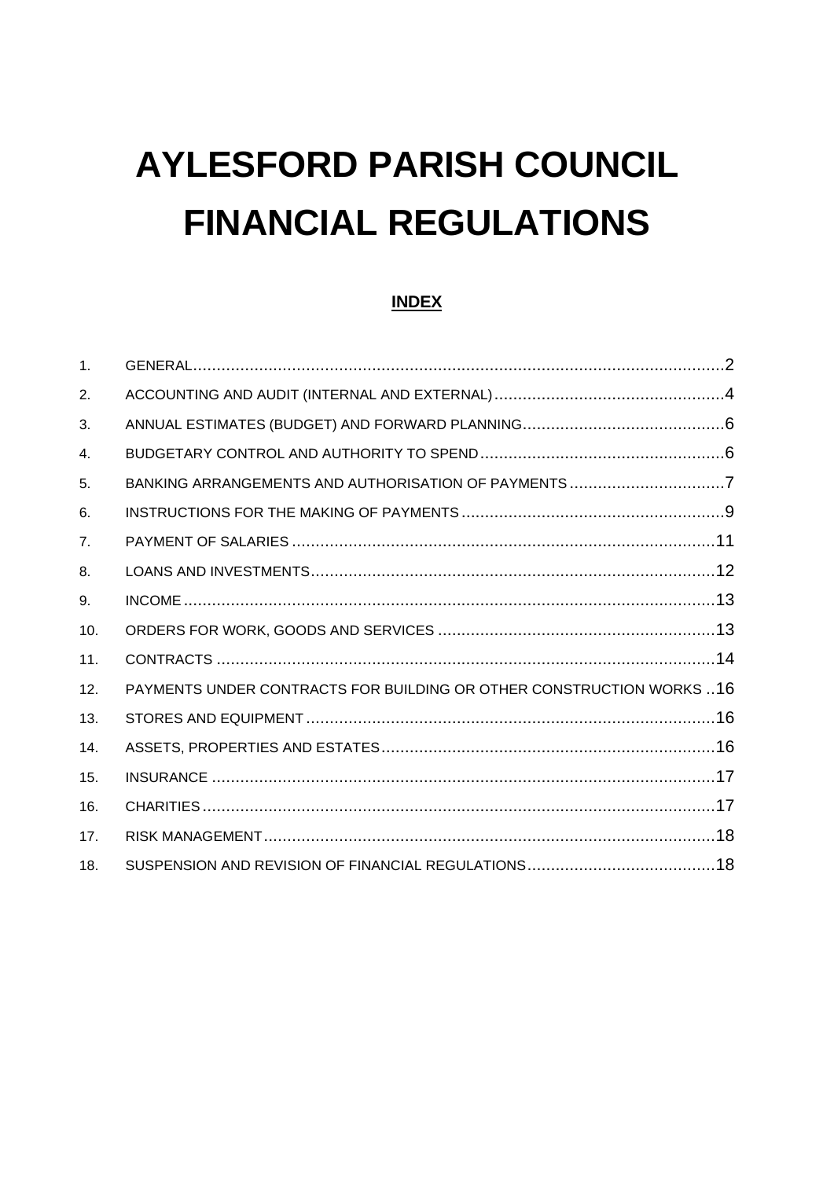# **AYLESFORD PARISH COUNCIL FINANCIAL REGULATIONS**

## **INDEX**

| 1 <sub>1</sub> |                                                                       |  |
|----------------|-----------------------------------------------------------------------|--|
| 2.             |                                                                       |  |
| 3.             |                                                                       |  |
| 4.             |                                                                       |  |
| 5.             | BANKING ARRANGEMENTS AND AUTHORISATION OF PAYMENTS 7                  |  |
| 6.             |                                                                       |  |
| 7.             |                                                                       |  |
| 8.             |                                                                       |  |
| 9.             |                                                                       |  |
| 10.            |                                                                       |  |
| 11.            |                                                                       |  |
| 12.            | PAYMENTS UNDER CONTRACTS FOR BUILDING OR OTHER CONSTRUCTION WORKS  16 |  |
| 13.            |                                                                       |  |
| 14.            |                                                                       |  |
| 15.            |                                                                       |  |
| 16.            |                                                                       |  |
| 17.            |                                                                       |  |
| 18.            |                                                                       |  |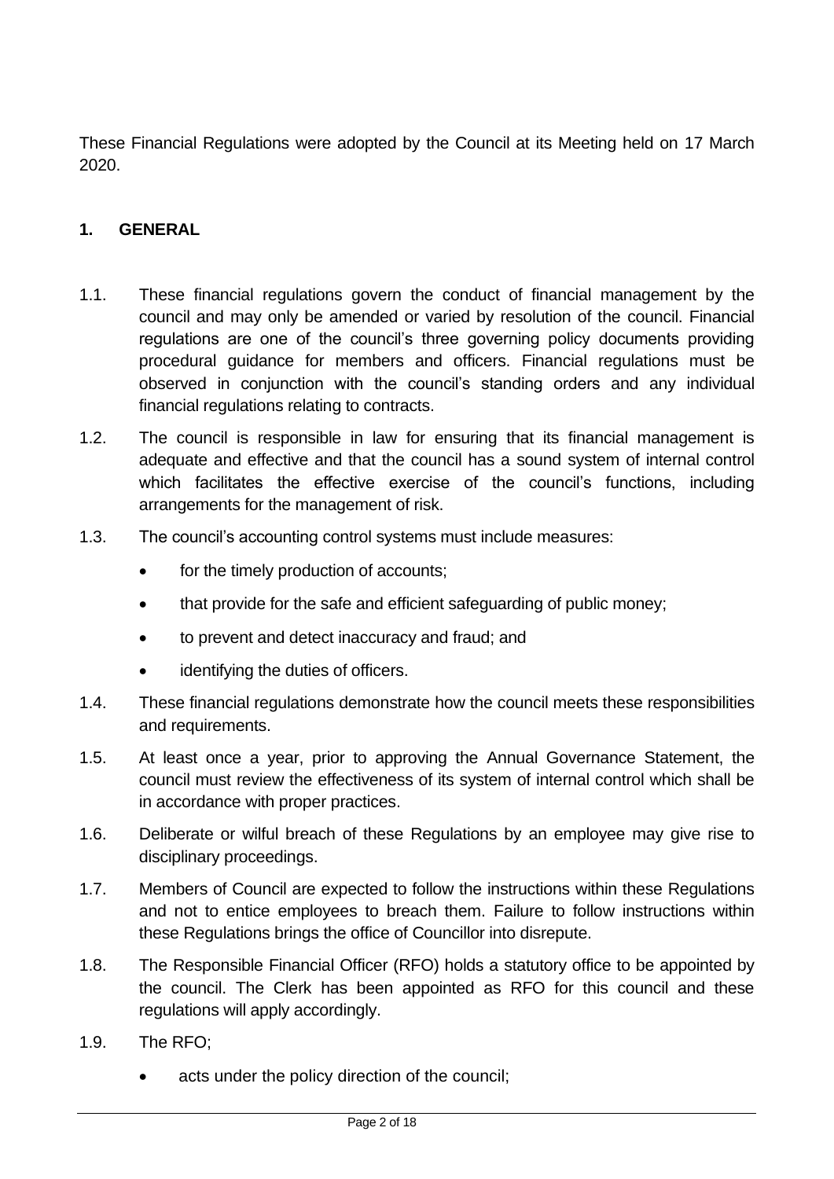These Financial Regulations were adopted by the Council at its Meeting held on 17 March 2020.

## <span id="page-1-0"></span>**1. GENERAL**

- 1.1. These financial regulations govern the conduct of financial management by the council and may only be amended or varied by resolution of the council. Financial regulations are one of the council's three governing policy documents providing procedural guidance for members and officers. Financial regulations must be observed in conjunction with the council's standing orders and any individual financial regulations relating to contracts.
- 1.2. The council is responsible in law for ensuring that its financial management is adequate and effective and that the council has a sound system of internal control which facilitates the effective exercise of the council's functions, including arrangements for the management of risk.
- 1.3. The council's accounting control systems must include measures:
	- for the timely production of accounts;
	- that provide for the safe and efficient safeguarding of public money;
	- to prevent and detect inaccuracy and fraud; and
	- identifying the duties of officers.
- 1.4. These financial regulations demonstrate how the council meets these responsibilities and requirements.
- 1.5. At least once a year, prior to approving the Annual Governance Statement, the council must review the effectiveness of its system of internal control which shall be in accordance with proper practices.
- 1.6. Deliberate or wilful breach of these Regulations by an employee may give rise to disciplinary proceedings.
- 1.7. Members of Council are expected to follow the instructions within these Regulations and not to entice employees to breach them. Failure to follow instructions within these Regulations brings the office of Councillor into disrepute.
- 1.8. The Responsible Financial Officer (RFO) holds a statutory office to be appointed by the council. The Clerk has been appointed as RFO for this council and these regulations will apply accordingly.
- 1.9. The RFO;
	- acts under the policy direction of the council;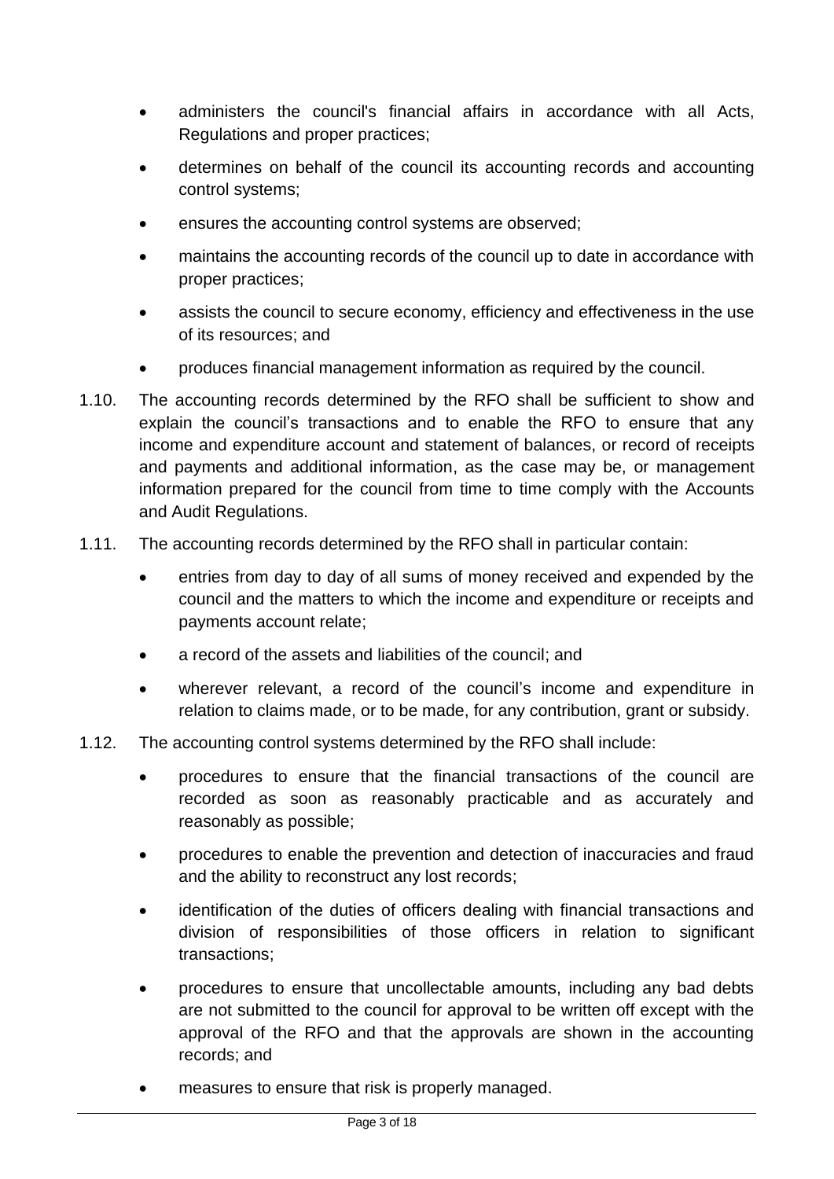- administers the council's financial affairs in accordance with all Acts, Regulations and proper practices;
- determines on behalf of the council its accounting records and accounting control systems;
- ensures the accounting control systems are observed;
- maintains the accounting records of the council up to date in accordance with proper practices;
- assists the council to secure economy, efficiency and effectiveness in the use of its resources; and
- produces financial management information as required by the council.
- 1.10. The accounting records determined by the RFO shall be sufficient to show and explain the council's transactions and to enable the RFO to ensure that any income and expenditure account and statement of balances, or record of receipts and payments and additional information, as the case may be, or management information prepared for the council from time to time comply with the Accounts and Audit Regulations.
- 1.11. The accounting records determined by the RFO shall in particular contain:
	- entries from day to day of all sums of money received and expended by the council and the matters to which the income and expenditure or receipts and payments account relate;
	- a record of the assets and liabilities of the council; and
	- wherever relevant, a record of the council's income and expenditure in relation to claims made, or to be made, for any contribution, grant or subsidy.
- 1.12. The accounting control systems determined by the RFO shall include:
	- procedures to ensure that the financial transactions of the council are recorded as soon as reasonably practicable and as accurately and reasonably as possible;
	- procedures to enable the prevention and detection of inaccuracies and fraud and the ability to reconstruct any lost records;
	- identification of the duties of officers dealing with financial transactions and division of responsibilities of those officers in relation to significant transactions;
	- procedures to ensure that uncollectable amounts, including any bad debts are not submitted to the council for approval to be written off except with the approval of the RFO and that the approvals are shown in the accounting records; and
	- measures to ensure that risk is properly managed.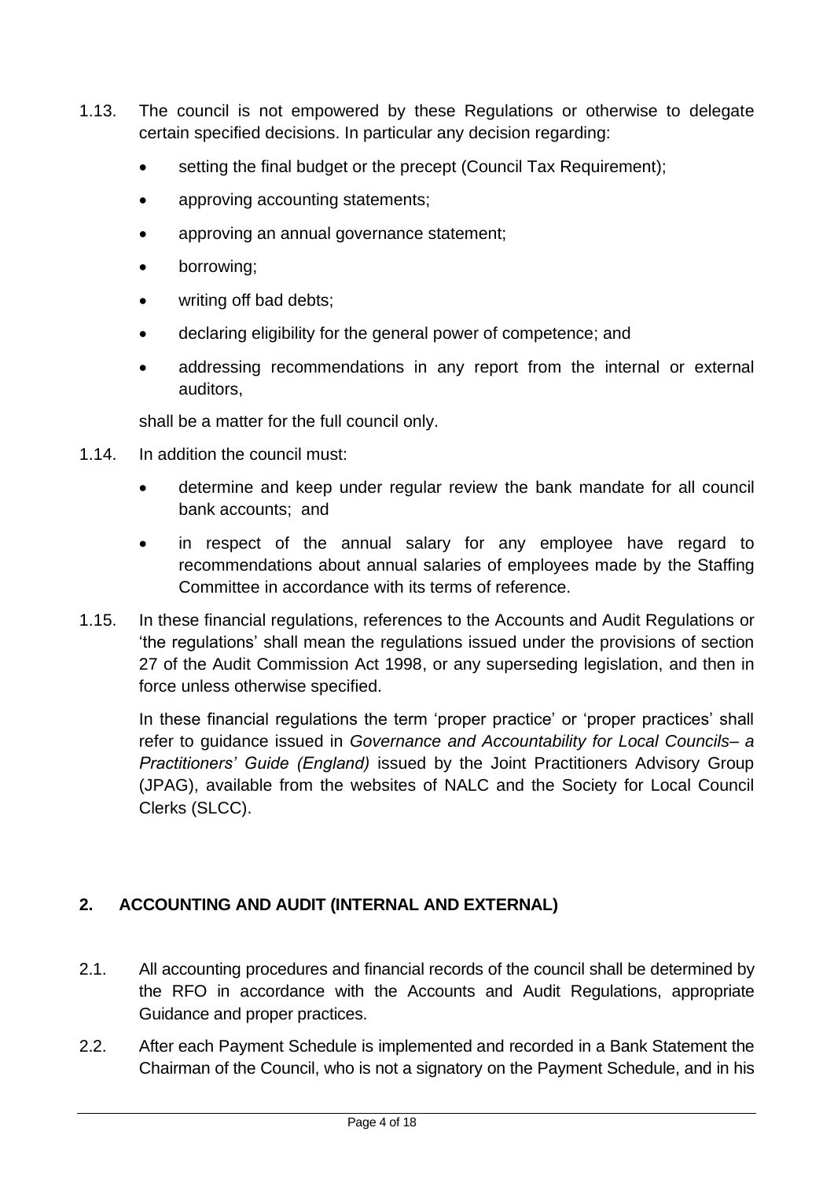- 1.13. The council is not empowered by these Regulations or otherwise to delegate certain specified decisions. In particular any decision regarding:
	- setting the final budget or the precept (Council Tax Requirement);
	- approving accounting statements;
	- approving an annual governance statement;
	- borrowing;
	- writing off bad debts;
	- declaring eligibility for the general power of competence; and
	- addressing recommendations in any report from the internal or external auditors,

shall be a matter for the full council only.

- 1.14. In addition the council must:
	- determine and keep under regular review the bank mandate for all council bank accounts; and
	- in respect of the annual salary for any employee have regard to recommendations about annual salaries of employees made by the Staffing Committee in accordance with its terms of reference.
- 1.15. In these financial regulations, references to the Accounts and Audit Regulations or 'the regulations' shall mean the regulations issued under the provisions of section 27 of the Audit Commission Act 1998, or any superseding legislation, and then in force unless otherwise specified.

In these financial regulations the term 'proper practice' or 'proper practices' shall refer to guidance issued in *Governance and Accountability for Local Councils– a Practitioners' Guide (England)* issued by the Joint Practitioners Advisory Group (JPAG), available from the websites of NALC and the Society for Local Council Clerks (SLCC).

# <span id="page-3-0"></span>**2. ACCOUNTING AND AUDIT (INTERNAL AND EXTERNAL)**

- 2.1. All accounting procedures and financial records of the council shall be determined by the RFO in accordance with the Accounts and Audit Regulations, appropriate Guidance and proper practices.
- 2.2. After each Payment Schedule is implemented and recorded in a Bank Statement the Chairman of the Council, who is not a signatory on the Payment Schedule, and in his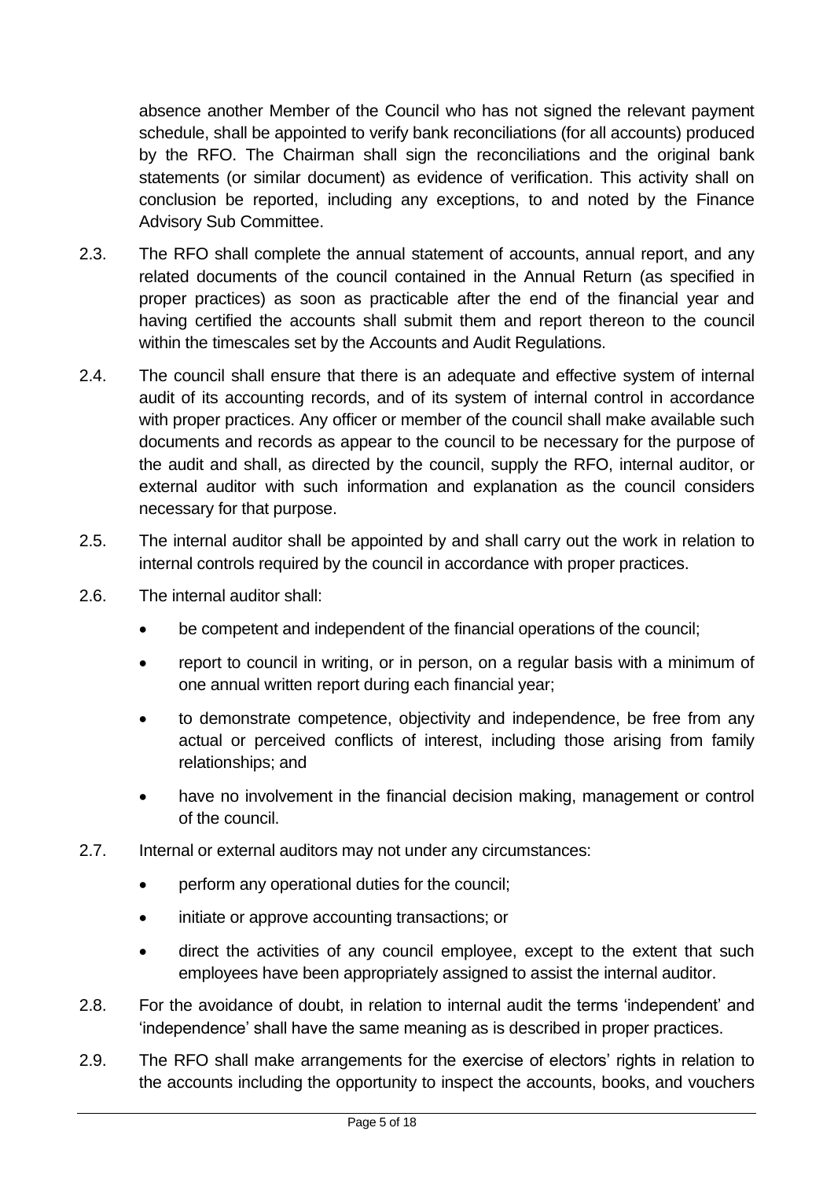absence another Member of the Council who has not signed the relevant payment schedule, shall be appointed to verify bank reconciliations (for all accounts) produced by the RFO. The Chairman shall sign the reconciliations and the original bank statements (or similar document) as evidence of verification. This activity shall on conclusion be reported, including any exceptions, to and noted by the Finance Advisory Sub Committee.

- 2.3. The RFO shall complete the annual statement of accounts, annual report, and any related documents of the council contained in the Annual Return (as specified in proper practices) as soon as practicable after the end of the financial year and having certified the accounts shall submit them and report thereon to the council within the timescales set by the Accounts and Audit Regulations.
- 2.4. The council shall ensure that there is an adequate and effective system of internal audit of its accounting records, and of its system of internal control in accordance with proper practices. Any officer or member of the council shall make available such documents and records as appear to the council to be necessary for the purpose of the audit and shall, as directed by the council, supply the RFO, internal auditor, or external auditor with such information and explanation as the council considers necessary for that purpose.
- 2.5. The internal auditor shall be appointed by and shall carry out the work in relation to internal controls required by the council in accordance with proper practices.
- 2.6. The internal auditor shall:
	- be competent and independent of the financial operations of the council;
	- report to council in writing, or in person, on a regular basis with a minimum of one annual written report during each financial year;
	- to demonstrate competence, objectivity and independence, be free from any actual or perceived conflicts of interest, including those arising from family relationships; and
	- have no involvement in the financial decision making, management or control of the council.
- 2.7. Internal or external auditors may not under any circumstances:
	- perform any operational duties for the council;
	- initiate or approve accounting transactions; or
	- direct the activities of any council employee, except to the extent that such employees have been appropriately assigned to assist the internal auditor.
- 2.8. For the avoidance of doubt, in relation to internal audit the terms 'independent' and 'independence' shall have the same meaning as is described in proper practices.
- 2.9. The RFO shall make arrangements for the exercise of electors' rights in relation to the accounts including the opportunity to inspect the accounts, books, and vouchers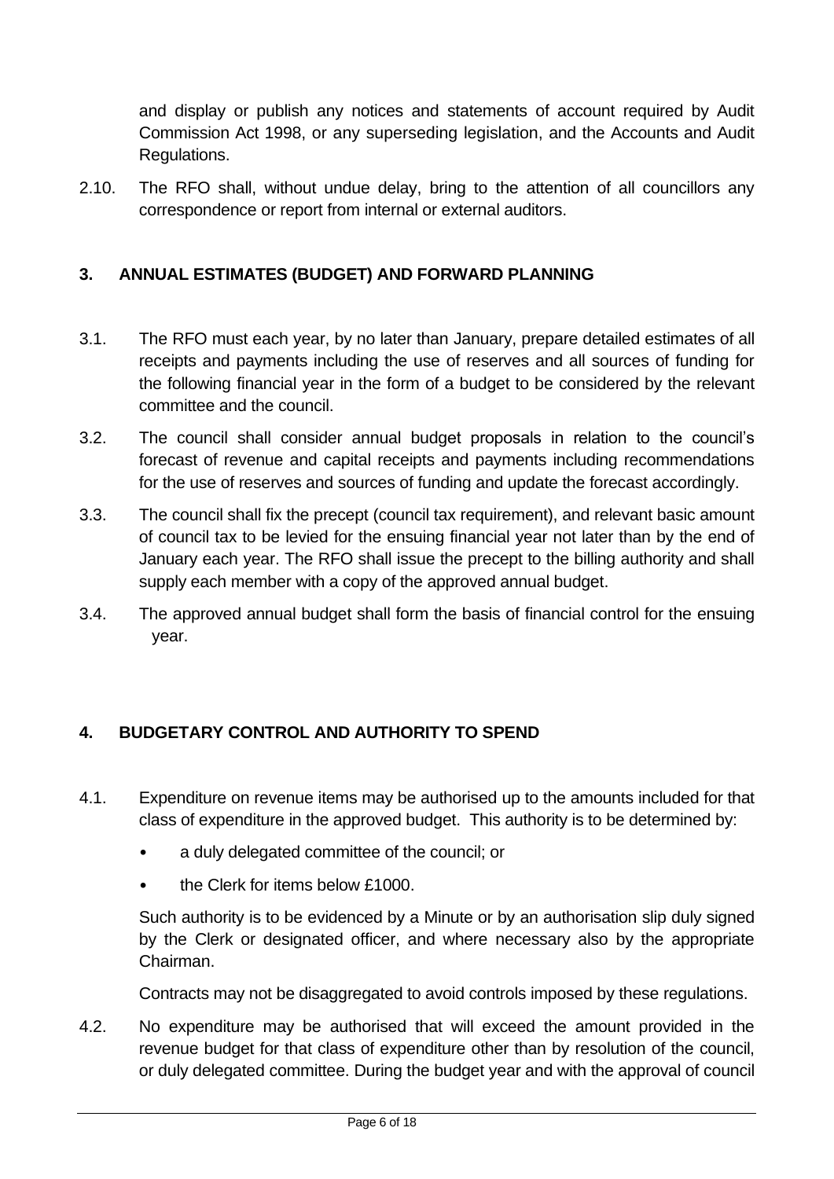and display or publish any notices and statements of account required by Audit Commission Act 1998, or any superseding legislation, and the Accounts and Audit Regulations.

2.10. The RFO shall, without undue delay, bring to the attention of all councillors any correspondence or report from internal or external auditors.

## <span id="page-5-0"></span>**3. ANNUAL ESTIMATES (BUDGET) AND FORWARD PLANNING**

- 3.1. The RFO must each year, by no later than January, prepare detailed estimates of all receipts and payments including the use of reserves and all sources of funding for the following financial year in the form of a budget to be considered by the relevant committee and the council.
- 3.2. The council shall consider annual budget proposals in relation to the council's forecast of revenue and capital receipts and payments including recommendations for the use of reserves and sources of funding and update the forecast accordingly.
- 3.3. The council shall fix the precept (council tax requirement), and relevant basic amount of council tax to be levied for the ensuing financial year not later than by the end of January each year. The RFO shall issue the precept to the billing authority and shall supply each member with a copy of the approved annual budget.
- 3.4. The approved annual budget shall form the basis of financial control for the ensuing year.

# <span id="page-5-1"></span>**4. BUDGETARY CONTROL AND AUTHORITY TO SPEND**

- 4.1. Expenditure on revenue items may be authorised up to the amounts included for that class of expenditure in the approved budget. This authority is to be determined by:
	- a duly delegated committee of the council; or
	- the Clerk for items below £1000.

Such authority is to be evidenced by a Minute or by an authorisation slip duly signed by the Clerk or designated officer, and where necessary also by the appropriate Chairman.

Contracts may not be disaggregated to avoid controls imposed by these regulations.

4.2. No expenditure may be authorised that will exceed the amount provided in the revenue budget for that class of expenditure other than by resolution of the council, or duly delegated committee. During the budget year and with the approval of council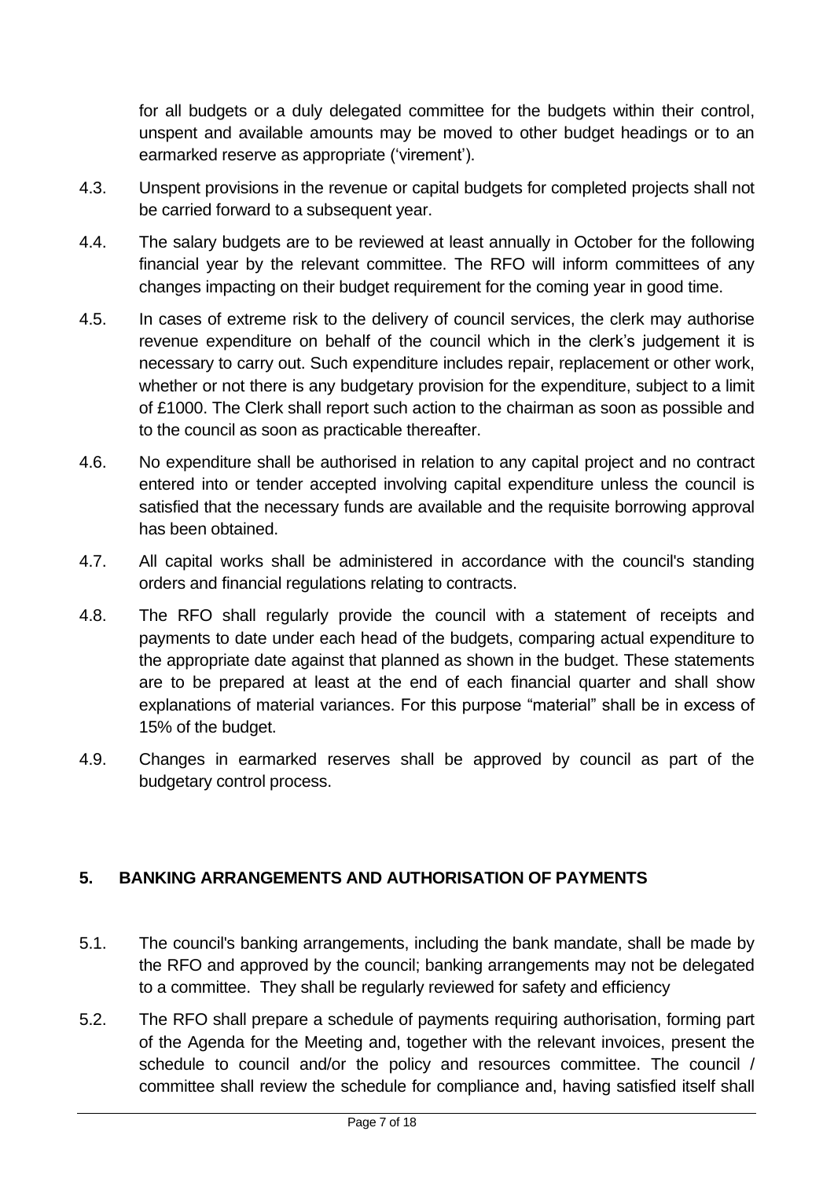for all budgets or a duly delegated committee for the budgets within their control, unspent and available amounts may be moved to other budget headings or to an earmarked reserve as appropriate ('virement').

- 4.3. Unspent provisions in the revenue or capital budgets for completed projects shall not be carried forward to a subsequent year.
- 4.4. The salary budgets are to be reviewed at least annually in October for the following financial year by the relevant committee. The RFO will inform committees of any changes impacting on their budget requirement for the coming year in good time.
- 4.5. In cases of extreme risk to the delivery of council services, the clerk may authorise revenue expenditure on behalf of the council which in the clerk's judgement it is necessary to carry out. Such expenditure includes repair, replacement or other work, whether or not there is any budgetary provision for the expenditure, subject to a limit of £1000. The Clerk shall report such action to the chairman as soon as possible and to the council as soon as practicable thereafter.
- 4.6. No expenditure shall be authorised in relation to any capital project and no contract entered into or tender accepted involving capital expenditure unless the council is satisfied that the necessary funds are available and the requisite borrowing approval has been obtained.
- 4.7. All capital works shall be administered in accordance with the council's standing orders and financial regulations relating to contracts.
- 4.8. The RFO shall regularly provide the council with a statement of receipts and payments to date under each head of the budgets, comparing actual expenditure to the appropriate date against that planned as shown in the budget. These statements are to be prepared at least at the end of each financial quarter and shall show explanations of material variances. For this purpose "material" shall be in excess of 15% of the budget.
- 4.9. Changes in earmarked reserves shall be approved by council as part of the budgetary control process.

# <span id="page-6-0"></span>**5. BANKING ARRANGEMENTS AND AUTHORISATION OF PAYMENTS**

- 5.1. The council's banking arrangements, including the bank mandate, shall be made by the RFO and approved by the council; banking arrangements may not be delegated to a committee. They shall be regularly reviewed for safety and efficiency
- 5.2. The RFO shall prepare a schedule of payments requiring authorisation, forming part of the Agenda for the Meeting and, together with the relevant invoices, present the schedule to council and/or the policy and resources committee. The council / committee shall review the schedule for compliance and, having satisfied itself shall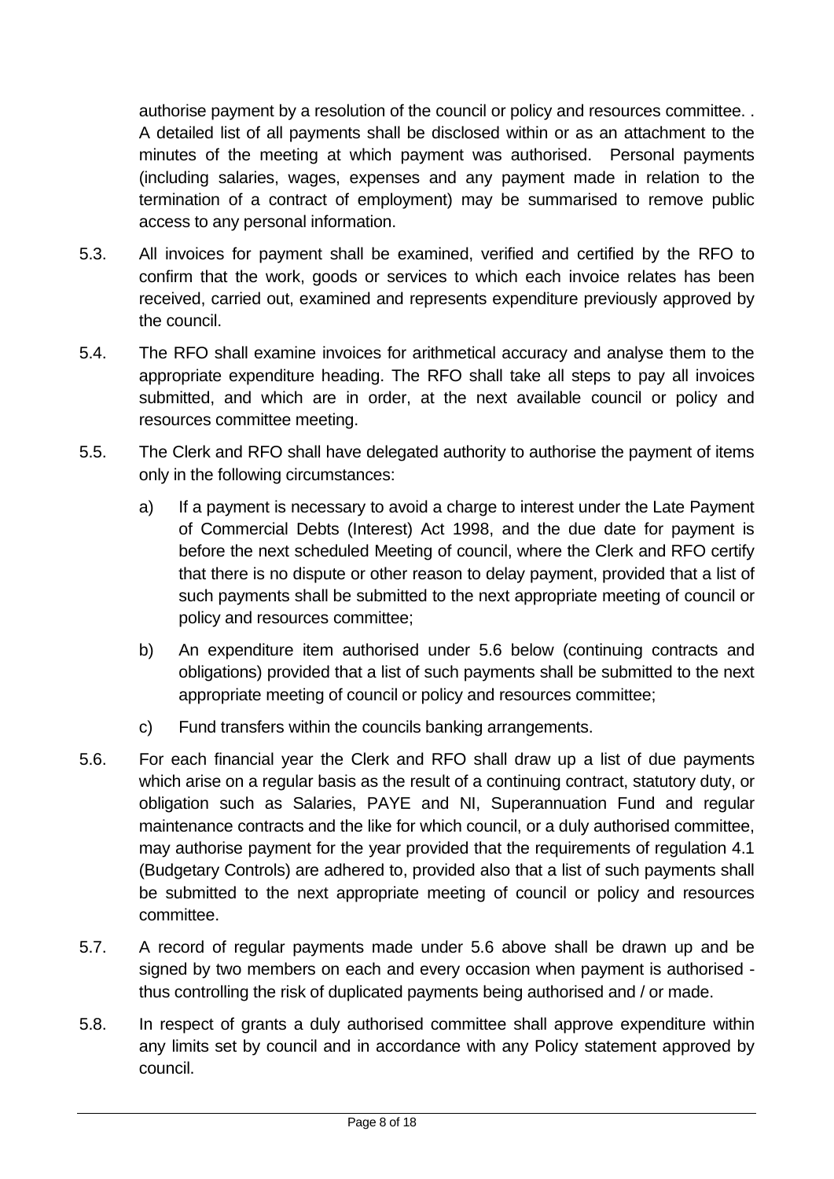authorise payment by a resolution of the council or policy and resources committee. . A detailed list of all payments shall be disclosed within or as an attachment to the minutes of the meeting at which payment was authorised. Personal payments (including salaries, wages, expenses and any payment made in relation to the termination of a contract of employment) may be summarised to remove public access to any personal information.

- 5.3. All invoices for payment shall be examined, verified and certified by the RFO to confirm that the work, goods or services to which each invoice relates has been received, carried out, examined and represents expenditure previously approved by the council.
- 5.4. The RFO shall examine invoices for arithmetical accuracy and analyse them to the appropriate expenditure heading. The RFO shall take all steps to pay all invoices submitted, and which are in order, at the next available council or policy and resources committee meeting.
- 5.5. The Clerk and RFO shall have delegated authority to authorise the payment of items only in the following circumstances:
	- a) If a payment is necessary to avoid a charge to interest under the Late Payment of Commercial Debts (Interest) Act 1998, and the due date for payment is before the next scheduled Meeting of council, where the Clerk and RFO certify that there is no dispute or other reason to delay payment, provided that a list of such payments shall be submitted to the next appropriate meeting of council or policy and resources committee;
	- b) An expenditure item authorised under 5.6 below (continuing contracts and obligations) provided that a list of such payments shall be submitted to the next appropriate meeting of council or policy and resources committee;
	- c) Fund transfers within the councils banking arrangements.
- 5.6. For each financial year the Clerk and RFO shall draw up a list of due payments which arise on a regular basis as the result of a continuing contract, statutory duty, or obligation such as Salaries, PAYE and NI, Superannuation Fund and regular maintenance contracts and the like for which council, or a duly authorised committee, may authorise payment for the year provided that the requirements of regulation 4.1 (Budgetary Controls) are adhered to, provided also that a list of such payments shall be submitted to the next appropriate meeting of council or policy and resources committee.
- 5.7. A record of regular payments made under 5.6 above shall be drawn up and be signed by two members on each and every occasion when payment is authorised thus controlling the risk of duplicated payments being authorised and / or made.
- 5.8. In respect of grants a duly authorised committee shall approve expenditure within any limits set by council and in accordance with any Policy statement approved by council.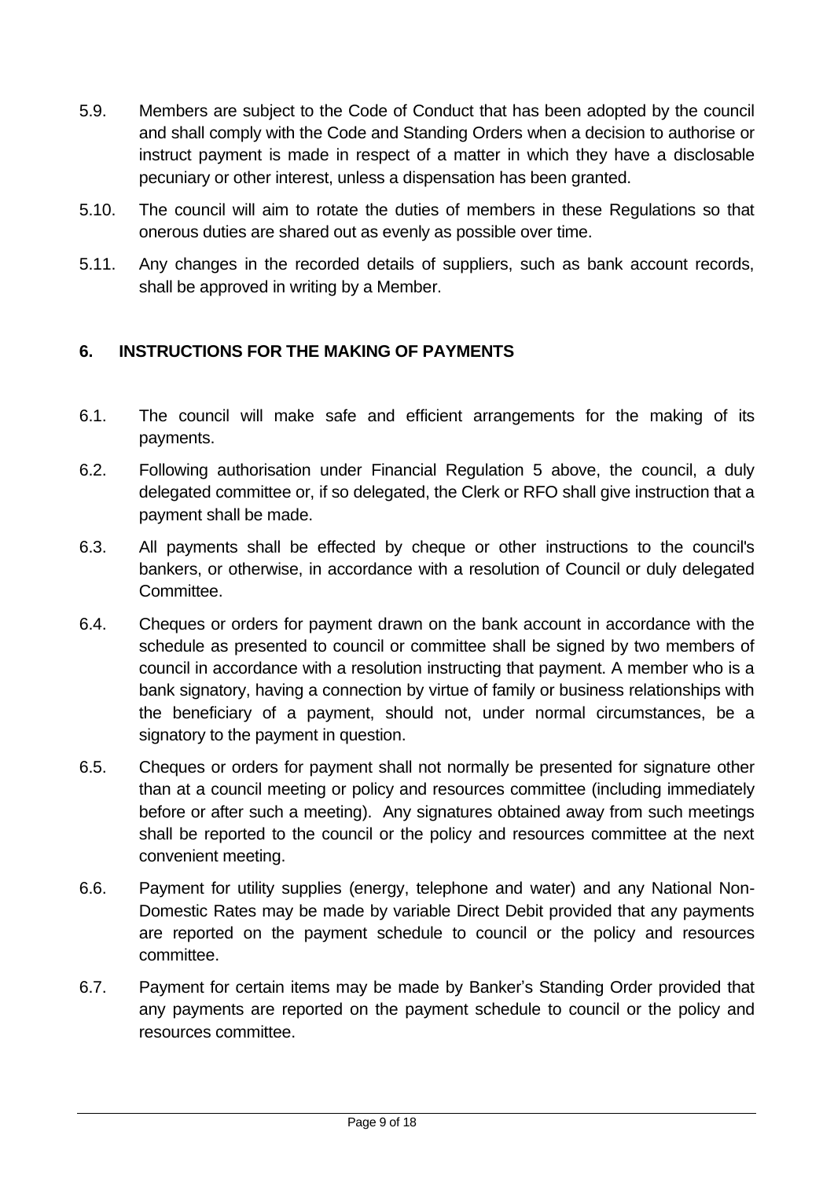- 5.9. Members are subject to the Code of Conduct that has been adopted by the council and shall comply with the Code and Standing Orders when a decision to authorise or instruct payment is made in respect of a matter in which they have a disclosable pecuniary or other interest, unless a dispensation has been granted.
- 5.10. The council will aim to rotate the duties of members in these Regulations so that onerous duties are shared out as evenly as possible over time.
- 5.11. Any changes in the recorded details of suppliers, such as bank account records, shall be approved in writing by a Member.

# <span id="page-8-0"></span>**6. INSTRUCTIONS FOR THE MAKING OF PAYMENTS**

- 6.1. The council will make safe and efficient arrangements for the making of its payments.
- 6.2. Following authorisation under Financial Regulation 5 above, the council, a duly delegated committee or, if so delegated, the Clerk or RFO shall give instruction that a payment shall be made.
- 6.3. All payments shall be effected by cheque or other instructions to the council's bankers, or otherwise, in accordance with a resolution of Council or duly delegated Committee.
- 6.4. Cheques or orders for payment drawn on the bank account in accordance with the schedule as presented to council or committee shall be signed by two members of council in accordance with a resolution instructing that payment. A member who is a bank signatory, having a connection by virtue of family or business relationships with the beneficiary of a payment, should not, under normal circumstances, be a signatory to the payment in question.
- 6.5. Cheques or orders for payment shall not normally be presented for signature other than at a council meeting or policy and resources committee (including immediately before or after such a meeting). Any signatures obtained away from such meetings shall be reported to the council or the policy and resources committee at the next convenient meeting.
- 6.6. Payment for utility supplies (energy, telephone and water) and any National Non-Domestic Rates may be made by variable Direct Debit provided that any payments are reported on the payment schedule to council or the policy and resources committee.
- 6.7. Payment for certain items may be made by Banker's Standing Order provided that any payments are reported on the payment schedule to council or the policy and resources committee.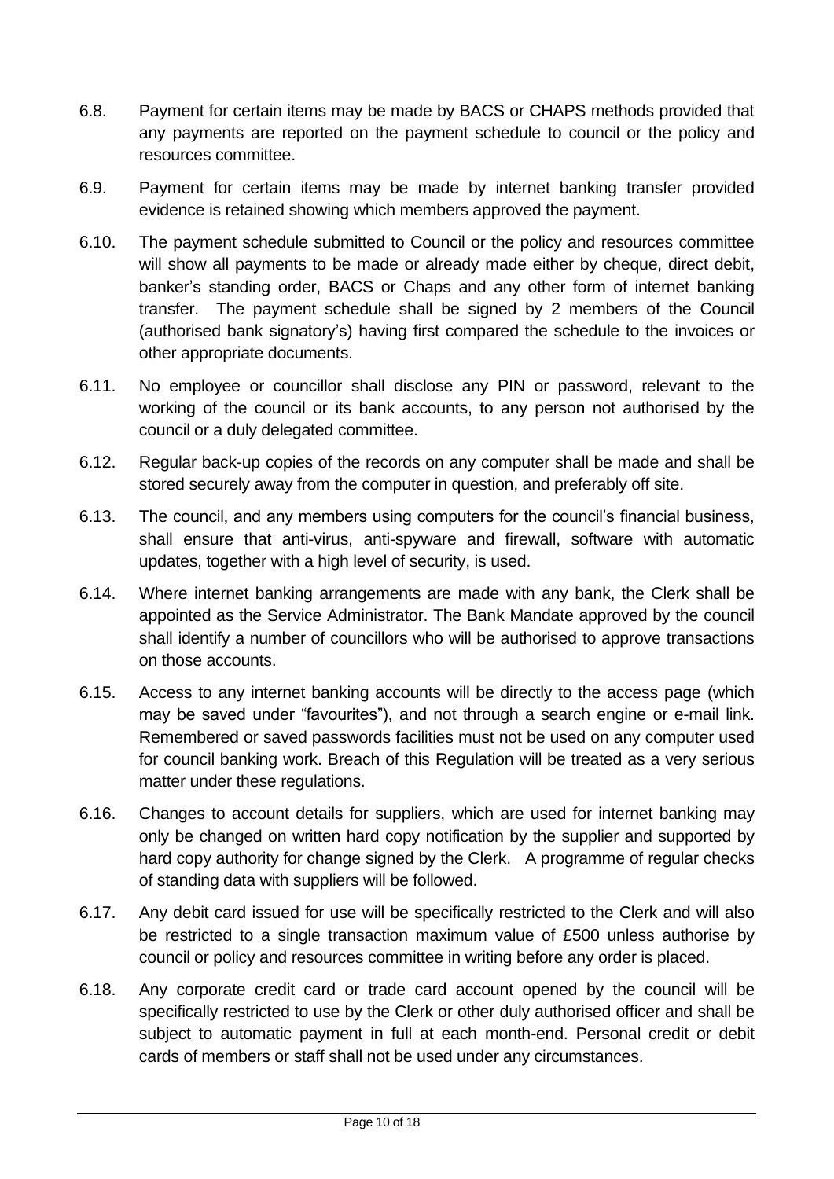- 6.8. Payment for certain items may be made by BACS or CHAPS methods provided that any payments are reported on the payment schedule to council or the policy and resources committee.
- 6.9. Payment for certain items may be made by internet banking transfer provided evidence is retained showing which members approved the payment.
- 6.10. The payment schedule submitted to Council or the policy and resources committee will show all payments to be made or already made either by cheque, direct debit, banker's standing order, BACS or Chaps and any other form of internet banking transfer. The payment schedule shall be signed by 2 members of the Council (authorised bank signatory's) having first compared the schedule to the invoices or other appropriate documents.
- 6.11. No employee or councillor shall disclose any PIN or password, relevant to the working of the council or its bank accounts, to any person not authorised by the council or a duly delegated committee.
- 6.12. Regular back-up copies of the records on any computer shall be made and shall be stored securely away from the computer in question, and preferably off site.
- 6.13. The council, and any members using computers for the council's financial business, shall ensure that anti-virus, anti-spyware and firewall, software with automatic updates, together with a high level of security, is used.
- 6.14. Where internet banking arrangements are made with any bank, the Clerk shall be appointed as the Service Administrator. The Bank Mandate approved by the council shall identify a number of councillors who will be authorised to approve transactions on those accounts.
- 6.15. Access to any internet banking accounts will be directly to the access page (which may be saved under "favourites"), and not through a search engine or e-mail link. Remembered or saved passwords facilities must not be used on any computer used for council banking work. Breach of this Regulation will be treated as a very serious matter under these regulations.
- 6.16. Changes to account details for suppliers, which are used for internet banking may only be changed on written hard copy notification by the supplier and supported by hard copy authority for change signed by the Clerk. A programme of regular checks of standing data with suppliers will be followed.
- 6.17. Any debit card issued for use will be specifically restricted to the Clerk and will also be restricted to a single transaction maximum value of £500 unless authorise by council or policy and resources committee in writing before any order is placed.
- 6.18. Any corporate credit card or trade card account opened by the council will be specifically restricted to use by the Clerk or other duly authorised officer and shall be subject to automatic payment in full at each month-end. Personal credit or debit cards of members or staff shall not be used under any circumstances.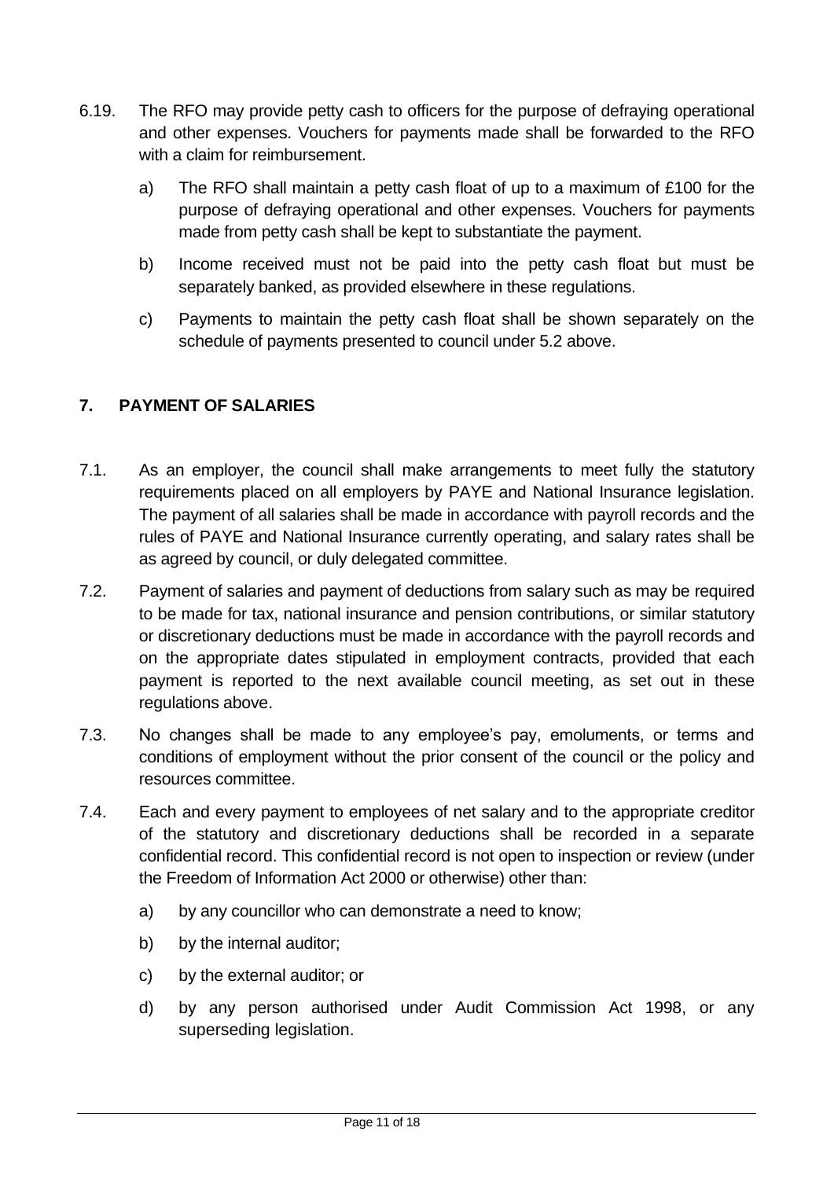- 6.19. The RFO may provide petty cash to officers for the purpose of defraying operational and other expenses. Vouchers for payments made shall be forwarded to the RFO with a claim for reimbursement.
	- a) The RFO shall maintain a petty cash float of up to a maximum of £100 for the purpose of defraying operational and other expenses. Vouchers for payments made from petty cash shall be kept to substantiate the payment.
	- b) Income received must not be paid into the petty cash float but must be separately banked, as provided elsewhere in these regulations.
	- c) Payments to maintain the petty cash float shall be shown separately on the schedule of payments presented to council under 5.2 above.

# <span id="page-10-0"></span>**7. PAYMENT OF SALARIES**

- 7.1. As an employer, the council shall make arrangements to meet fully the statutory requirements placed on all employers by PAYE and National Insurance legislation. The payment of all salaries shall be made in accordance with payroll records and the rules of PAYE and National Insurance currently operating, and salary rates shall be as agreed by council, or duly delegated committee.
- 7.2. Payment of salaries and payment of deductions from salary such as may be required to be made for tax, national insurance and pension contributions, or similar statutory or discretionary deductions must be made in accordance with the payroll records and on the appropriate dates stipulated in employment contracts, provided that each payment is reported to the next available council meeting, as set out in these regulations above.
- 7.3. No changes shall be made to any employee's pay, emoluments, or terms and conditions of employment without the prior consent of the council or the policy and resources committee.
- 7.4. Each and every payment to employees of net salary and to the appropriate creditor of the statutory and discretionary deductions shall be recorded in a separate confidential record. This confidential record is not open to inspection or review (under the Freedom of Information Act 2000 or otherwise) other than:
	- a) by any councillor who can demonstrate a need to know;
	- b) by the internal auditor;
	- c) by the external auditor; or
	- d) by any person authorised under Audit Commission Act 1998, or any superseding legislation.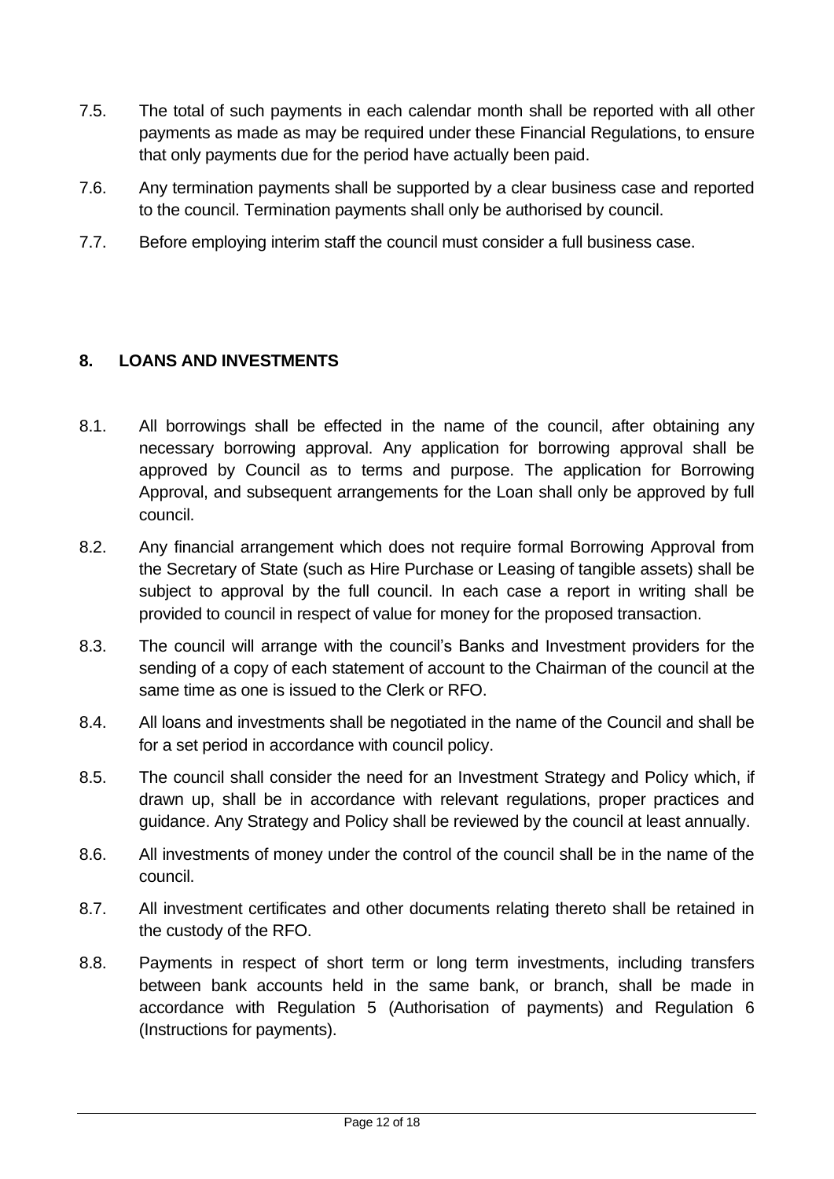- 7.5. The total of such payments in each calendar month shall be reported with all other payments as made as may be required under these Financial Regulations, to ensure that only payments due for the period have actually been paid.
- 7.6. Any termination payments shall be supported by a clear business case and reported to the council. Termination payments shall only be authorised by council.
- 7.7. Before employing interim staff the council must consider a full business case.

### <span id="page-11-0"></span>**8. LOANS AND INVESTMENTS**

- 8.1. All borrowings shall be effected in the name of the council, after obtaining any necessary borrowing approval. Any application for borrowing approval shall be approved by Council as to terms and purpose. The application for Borrowing Approval, and subsequent arrangements for the Loan shall only be approved by full council.
- 8.2. Any financial arrangement which does not require formal Borrowing Approval from the Secretary of State (such as Hire Purchase or Leasing of tangible assets) shall be subject to approval by the full council. In each case a report in writing shall be provided to council in respect of value for money for the proposed transaction.
- 8.3. The council will arrange with the council's Banks and Investment providers for the sending of a copy of each statement of account to the Chairman of the council at the same time as one is issued to the Clerk or RFO.
- 8.4. All loans and investments shall be negotiated in the name of the Council and shall be for a set period in accordance with council policy.
- 8.5. The council shall consider the need for an Investment Strategy and Policy which, if drawn up, shall be in accordance with relevant regulations, proper practices and guidance. Any Strategy and Policy shall be reviewed by the council at least annually.
- 8.6. All investments of money under the control of the council shall be in the name of the council.
- 8.7. All investment certificates and other documents relating thereto shall be retained in the custody of the RFO.
- 8.8. Payments in respect of short term or long term investments, including transfers between bank accounts held in the same bank, or branch, shall be made in accordance with Regulation 5 (Authorisation of payments) and Regulation 6 (Instructions for payments).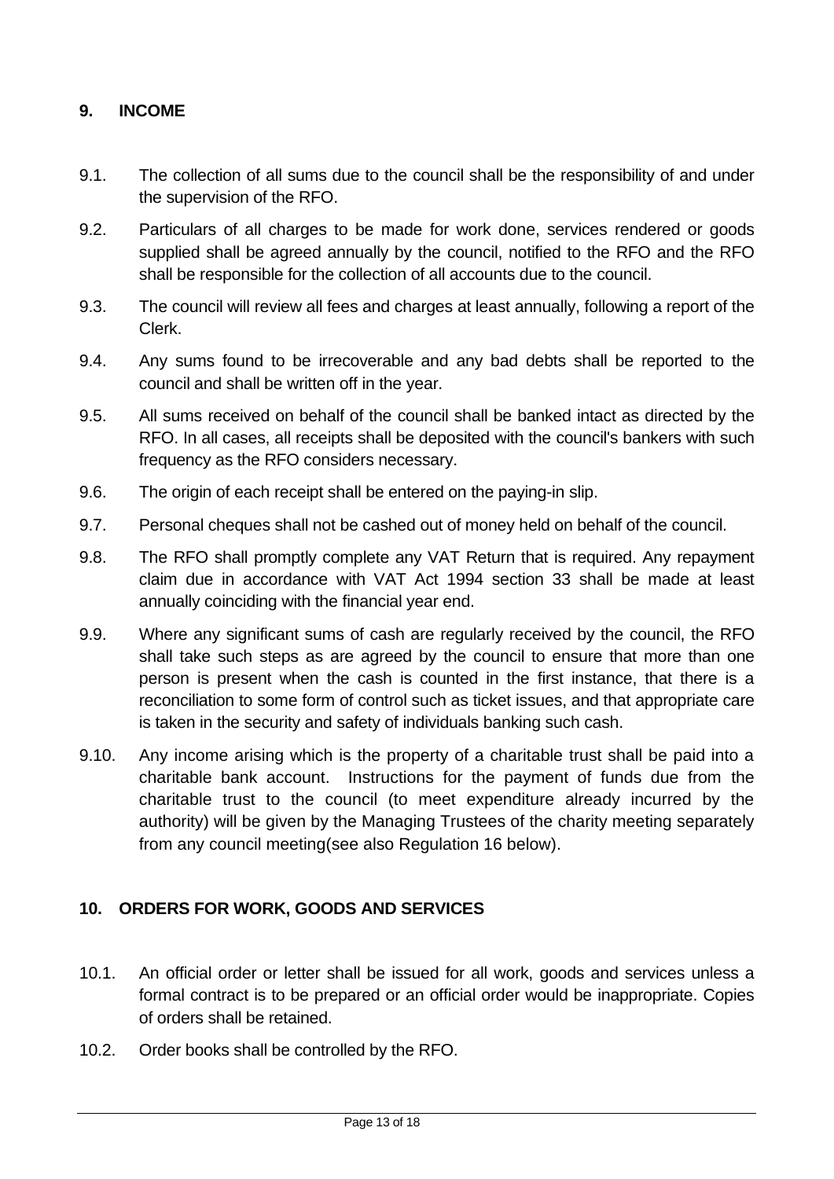#### <span id="page-12-0"></span>**9. INCOME**

- 9.1. The collection of all sums due to the council shall be the responsibility of and under the supervision of the RFO.
- 9.2. Particulars of all charges to be made for work done, services rendered or goods supplied shall be agreed annually by the council, notified to the RFO and the RFO shall be responsible for the collection of all accounts due to the council.
- 9.3. The council will review all fees and charges at least annually, following a report of the Clerk.
- 9.4. Any sums found to be irrecoverable and any bad debts shall be reported to the council and shall be written off in the year.
- 9.5. All sums received on behalf of the council shall be banked intact as directed by the RFO. In all cases, all receipts shall be deposited with the council's bankers with such frequency as the RFO considers necessary.
- 9.6. The origin of each receipt shall be entered on the paying-in slip.
- 9.7. Personal cheques shall not be cashed out of money held on behalf of the council.
- 9.8. The RFO shall promptly complete any VAT Return that is required. Any repayment claim due in accordance with VAT Act 1994 section 33 shall be made at least annually coinciding with the financial year end.
- 9.9. Where any significant sums of cash are regularly received by the council, the RFO shall take such steps as are agreed by the council to ensure that more than one person is present when the cash is counted in the first instance, that there is a reconciliation to some form of control such as ticket issues, and that appropriate care is taken in the security and safety of individuals banking such cash.
- 9.10. Any income arising which is the property of a charitable trust shall be paid into a charitable bank account. Instructions for the payment of funds due from the charitable trust to the council (to meet expenditure already incurred by the authority) will be given by the Managing Trustees of the charity meeting separately from any council meeting(see also Regulation 16 below).

#### <span id="page-12-1"></span>**10. ORDERS FOR WORK, GOODS AND SERVICES**

- 10.1. An official order or letter shall be issued for all work, goods and services unless a formal contract is to be prepared or an official order would be inappropriate. Copies of orders shall be retained.
- 10.2. Order books shall be controlled by the RFO.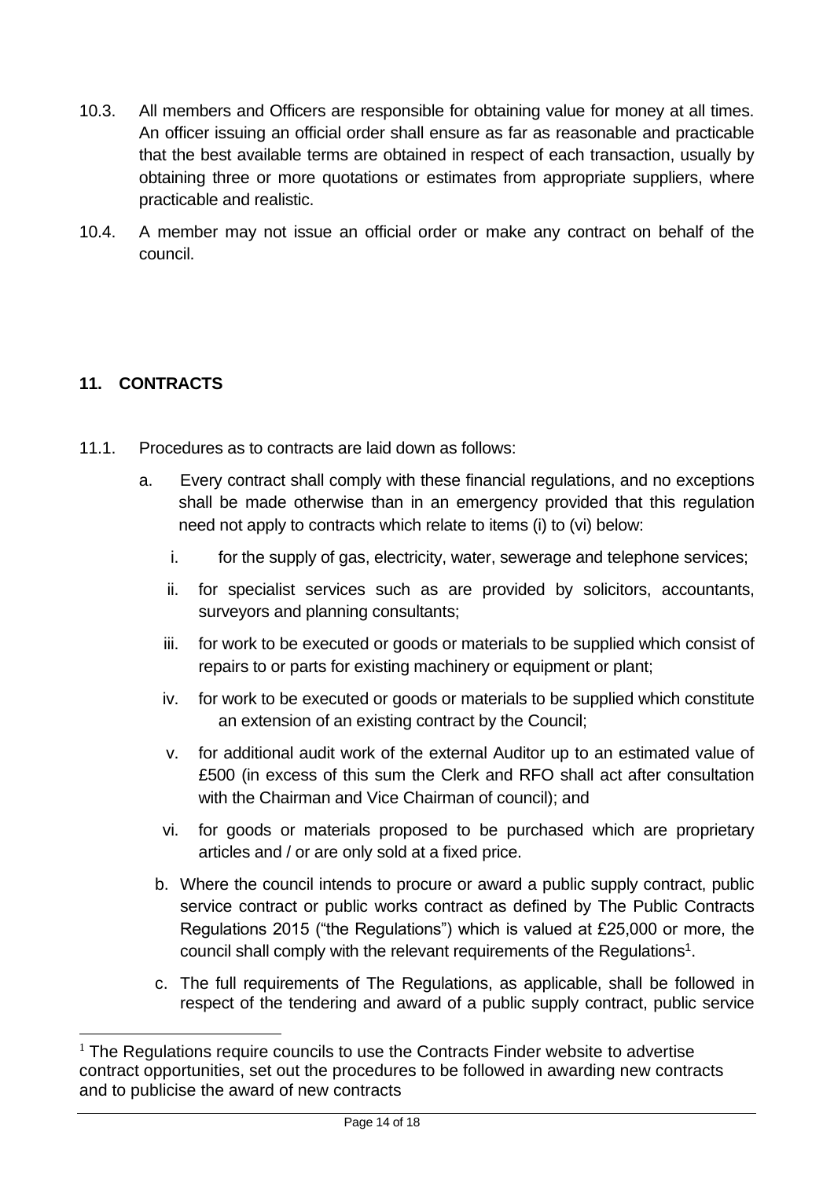- 10.3. All members and Officers are responsible for obtaining value for money at all times. An officer issuing an official order shall ensure as far as reasonable and practicable that the best available terms are obtained in respect of each transaction, usually by obtaining three or more quotations or estimates from appropriate suppliers, where practicable and realistic.
- 10.4. A member may not issue an official order or make any contract on behalf of the council.

# <span id="page-13-0"></span>**11. CONTRACTS**

- 11.1. Procedures as to contracts are laid down as follows:
	- a. Every contract shall comply with these financial regulations, and no exceptions shall be made otherwise than in an emergency provided that this regulation need not apply to contracts which relate to items (i) to (vi) below:
		- i. for the supply of gas, electricity, water, sewerage and telephone services;
		- ii. for specialist services such as are provided by solicitors, accountants, surveyors and planning consultants;
		- iii. for work to be executed or goods or materials to be supplied which consist of repairs to or parts for existing machinery or equipment or plant;
		- iv. for work to be executed or goods or materials to be supplied which constitute an extension of an existing contract by the Council;
		- v. for additional audit work of the external Auditor up to an estimated value of £500 (in excess of this sum the Clerk and RFO shall act after consultation with the Chairman and Vice Chairman of council); and
		- vi. for goods or materials proposed to be purchased which are proprietary articles and / or are only sold at a fixed price.
		- b. Where the council intends to procure or award a public supply contract, public service contract or public works contract as defined by The Public Contracts Regulations 2015 ("the Regulations") which is valued at £25,000 or more, the council shall comply with the relevant requirements of the Regulations<sup>1</sup>.
		- c. The full requirements of The Regulations, as applicable, shall be followed in respect of the tendering and award of a public supply contract, public service

 $1$  The Regulations require councils to use the Contracts Finder website to advertise contract opportunities, set out the procedures to be followed in awarding new contracts and to publicise the award of new contracts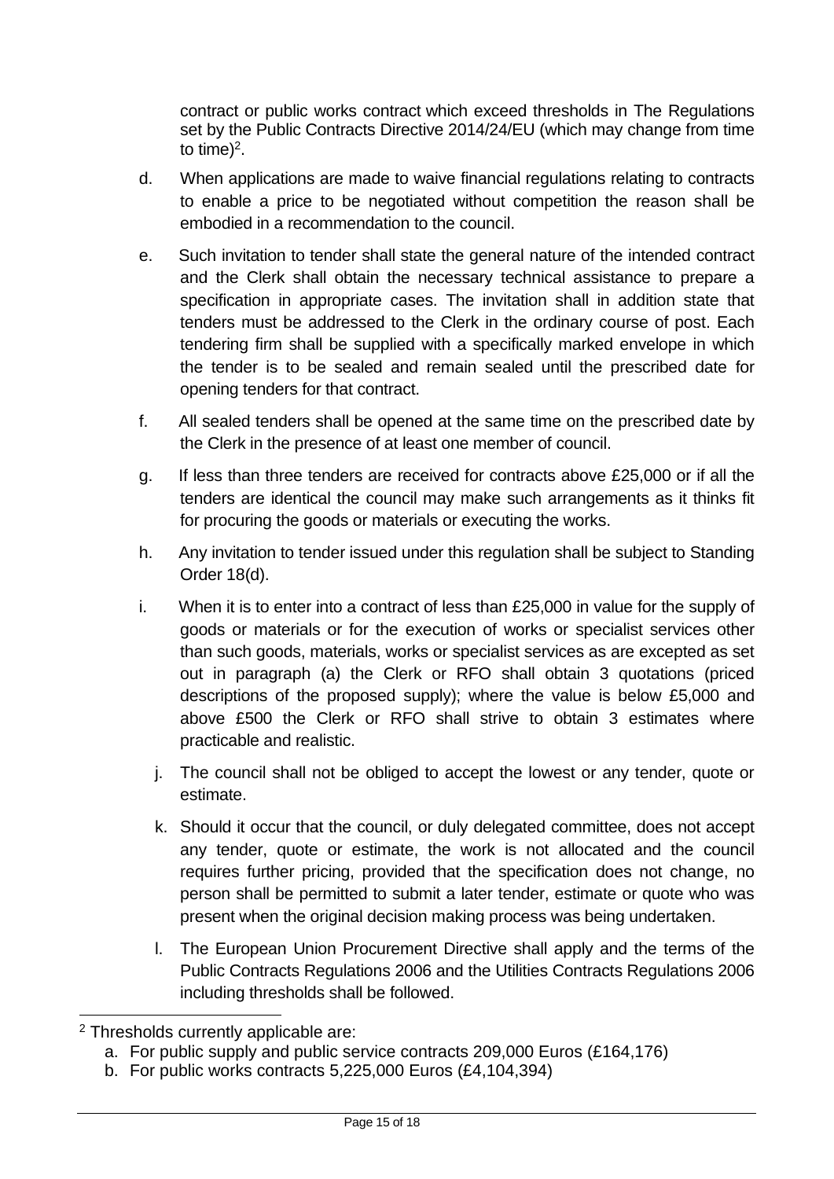contract or public works contract which exceed thresholds in The Regulations set by the Public Contracts Directive 2014/24/EU (which may change from time to time)<sup>2</sup>.

- d. When applications are made to waive financial regulations relating to contracts to enable a price to be negotiated without competition the reason shall be embodied in a recommendation to the council.
- e. Such invitation to tender shall state the general nature of the intended contract and the Clerk shall obtain the necessary technical assistance to prepare a specification in appropriate cases. The invitation shall in addition state that tenders must be addressed to the Clerk in the ordinary course of post. Each tendering firm shall be supplied with a specifically marked envelope in which the tender is to be sealed and remain sealed until the prescribed date for opening tenders for that contract.
- f. All sealed tenders shall be opened at the same time on the prescribed date by the Clerk in the presence of at least one member of council.
- g. If less than three tenders are received for contracts above £25,000 or if all the tenders are identical the council may make such arrangements as it thinks fit for procuring the goods or materials or executing the works.
- h. Any invitation to tender issued under this regulation shall be subject to Standing Order 18(d).
- i. When it is to enter into a contract of less than £25,000 in value for the supply of goods or materials or for the execution of works or specialist services other than such goods, materials, works or specialist services as are excepted as set out in paragraph (a) the Clerk or RFO shall obtain 3 quotations (priced descriptions of the proposed supply); where the value is below £5,000 and above £500 the Clerk or RFO shall strive to obtain 3 estimates where practicable and realistic.
	- j. The council shall not be obliged to accept the lowest or any tender, quote or estimate.
	- k. Should it occur that the council, or duly delegated committee, does not accept any tender, quote or estimate, the work is not allocated and the council requires further pricing, provided that the specification does not change, no person shall be permitted to submit a later tender, estimate or quote who was present when the original decision making process was being undertaken.
	- l. The European Union Procurement Directive shall apply and the terms of the Public Contracts Regulations 2006 and the Utilities Contracts Regulations 2006 including thresholds shall be followed.

<sup>2</sup> Thresholds currently applicable are:

a. For public supply and public service contracts 209,000 Euros (£164,176)

b. For public works contracts 5,225,000 Euros (£4,104,394)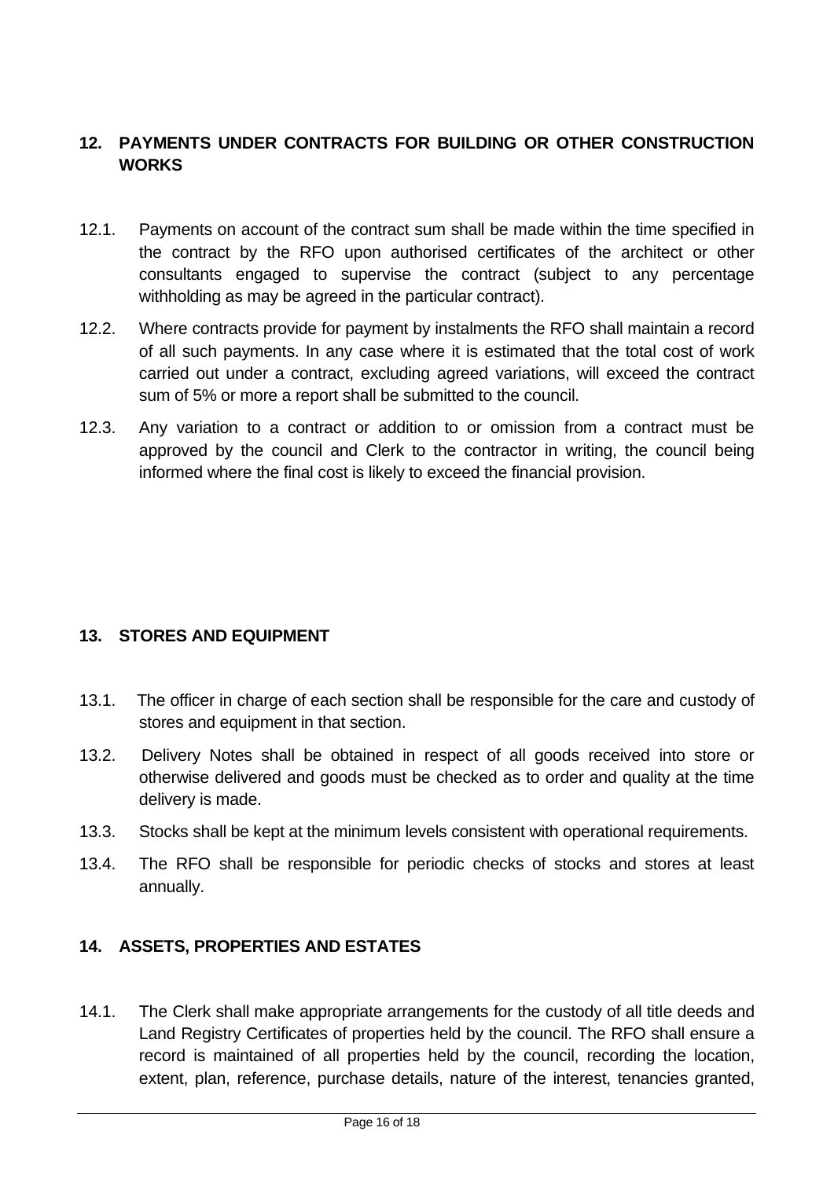#### <span id="page-15-0"></span>**12. PAYMENTS UNDER CONTRACTS FOR BUILDING OR OTHER CONSTRUCTION WORKS**

- 12.1. Payments on account of the contract sum shall be made within the time specified in the contract by the RFO upon authorised certificates of the architect or other consultants engaged to supervise the contract (subject to any percentage withholding as may be agreed in the particular contract).
- 12.2. Where contracts provide for payment by instalments the RFO shall maintain a record of all such payments. In any case where it is estimated that the total cost of work carried out under a contract, excluding agreed variations, will exceed the contract sum of 5% or more a report shall be submitted to the council.
- 12.3. Any variation to a contract or addition to or omission from a contract must be approved by the council and Clerk to the contractor in writing, the council being informed where the final cost is likely to exceed the financial provision.

#### <span id="page-15-1"></span>**13. STORES AND EQUIPMENT**

- 13.1. The officer in charge of each section shall be responsible for the care and custody of stores and equipment in that section.
- 13.2. Delivery Notes shall be obtained in respect of all goods received into store or otherwise delivered and goods must be checked as to order and quality at the time delivery is made.
- 13.3. Stocks shall be kept at the minimum levels consistent with operational requirements.
- 13.4. The RFO shall be responsible for periodic checks of stocks and stores at least annually.

#### <span id="page-15-2"></span>**14. ASSETS, PROPERTIES AND ESTATES**

14.1. The Clerk shall make appropriate arrangements for the custody of all title deeds and Land Registry Certificates of properties held by the council. The RFO shall ensure a record is maintained of all properties held by the council, recording the location, extent, plan, reference, purchase details, nature of the interest, tenancies granted,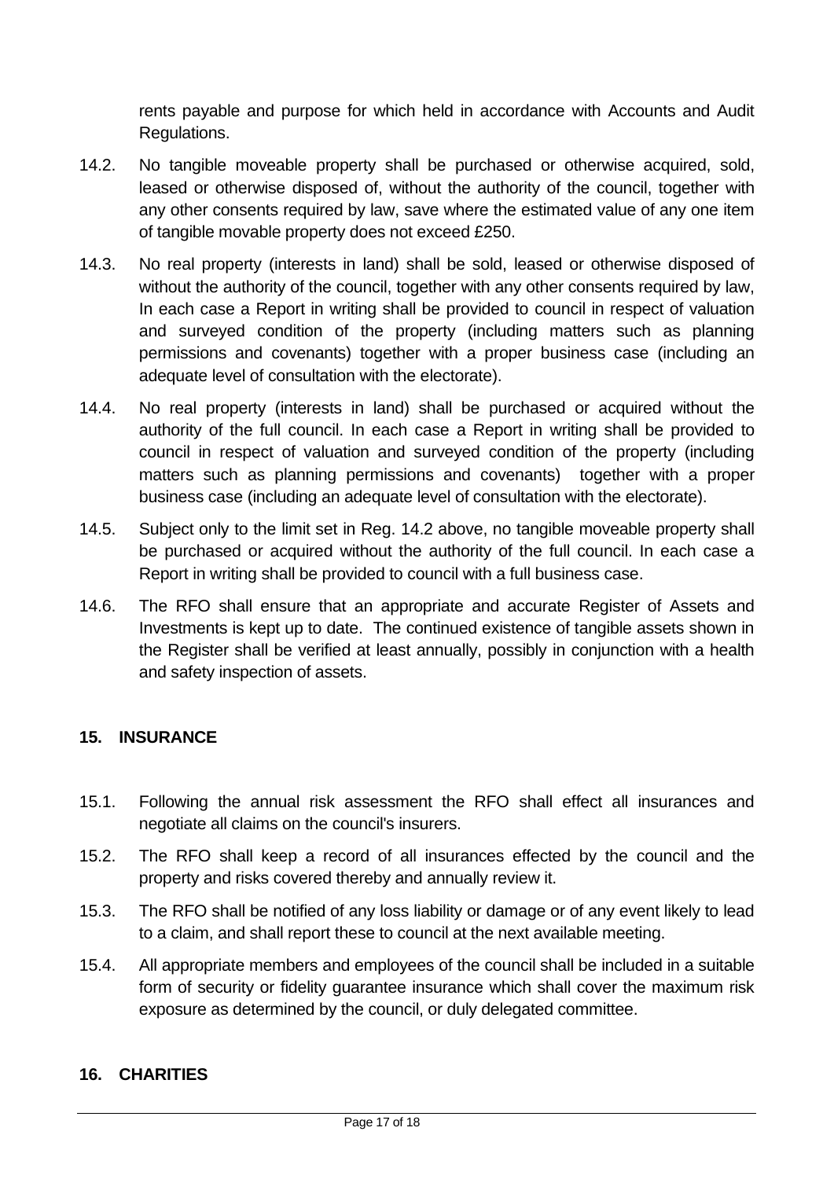rents payable and purpose for which held in accordance with Accounts and Audit Regulations.

- 14.2. No tangible moveable property shall be purchased or otherwise acquired, sold, leased or otherwise disposed of, without the authority of the council, together with any other consents required by law, save where the estimated value of any one item of tangible movable property does not exceed £250.
- 14.3. No real property (interests in land) shall be sold, leased or otherwise disposed of without the authority of the council, together with any other consents required by law, In each case a Report in writing shall be provided to council in respect of valuation and surveyed condition of the property (including matters such as planning permissions and covenants) together with a proper business case (including an adequate level of consultation with the electorate).
- 14.4. No real property (interests in land) shall be purchased or acquired without the authority of the full council. In each case a Report in writing shall be provided to council in respect of valuation and surveyed condition of the property (including matters such as planning permissions and covenants) together with a proper business case (including an adequate level of consultation with the electorate).
- 14.5. Subject only to the limit set in Reg. 14.2 above, no tangible moveable property shall be purchased or acquired without the authority of the full council. In each case a Report in writing shall be provided to council with a full business case.
- 14.6. The RFO shall ensure that an appropriate and accurate Register of Assets and Investments is kept up to date. The continued existence of tangible assets shown in the Register shall be verified at least annually, possibly in conjunction with a health and safety inspection of assets.

#### <span id="page-16-0"></span>**15. INSURANCE**

- 15.1. Following the annual risk assessment the RFO shall effect all insurances and negotiate all claims on the council's insurers.
- 15.2. The RFO shall keep a record of all insurances effected by the council and the property and risks covered thereby and annually review it.
- 15.3. The RFO shall be notified of any loss liability or damage or of any event likely to lead to a claim, and shall report these to council at the next available meeting.
- 15.4. All appropriate members and employees of the council shall be included in a suitable form of security or fidelity guarantee insurance which shall cover the maximum risk exposure as determined by the council, or duly delegated committee.

#### <span id="page-16-1"></span>**16. CHARITIES**